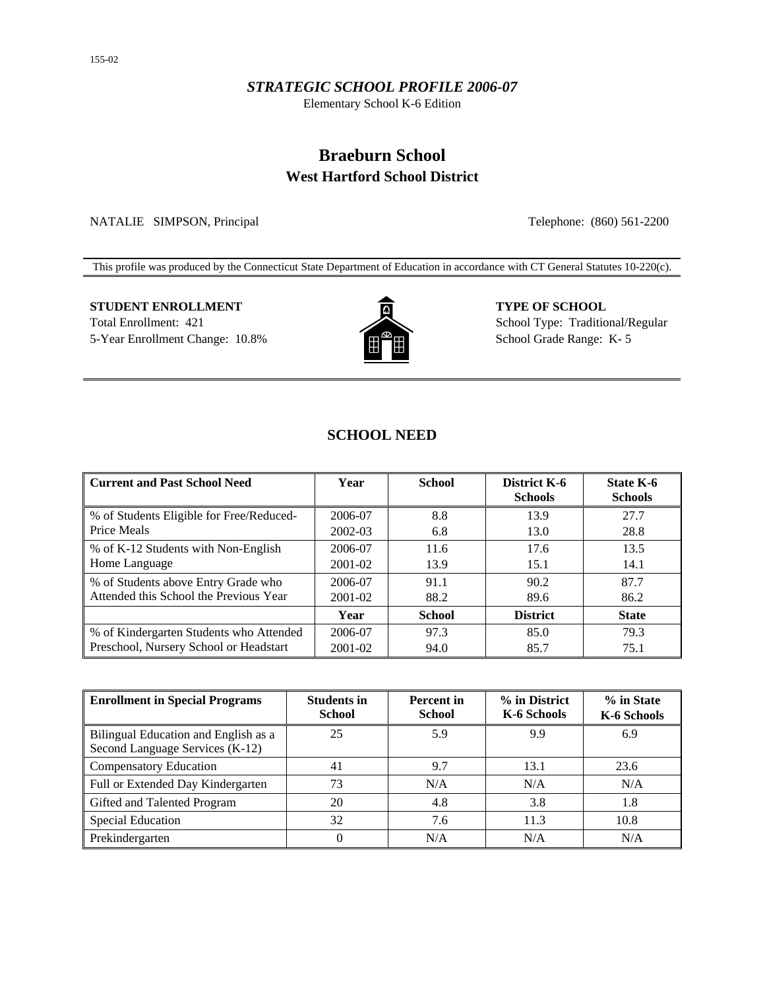#### *STRATEGIC SCHOOL PROFILE 2006-07*

Elementary School K-6 Edition

# **Braeburn School West Hartford School District**

NATALIE SIMPSON, Principal Telephone: (860) 561-2200

This profile was produced by the Connecticut State Department of Education in accordance with CT General Statutes 10-220(c).

# **STUDENT ENROLLMENT TYPE OF SCHOOL** Total Enrollment: 421 School Type: Traditional/Regular



5-Year Enrollment Change: 10.8% **School Grade Range: K-5** School Grade Range: K-5

# **SCHOOL NEED**

| <b>Current and Past School Need</b>      | Year        | <b>School</b> | District K-6<br><b>Schools</b> | State K-6<br><b>Schools</b> |
|------------------------------------------|-------------|---------------|--------------------------------|-----------------------------|
| % of Students Eligible for Free/Reduced- | 2006-07     | 8.8           | 13.9                           | 27.7                        |
| Price Meals                              | 2002-03     | 6.8           | 13.0                           | 28.8                        |
| % of K-12 Students with Non-English      | 2006-07     | 11.6          | 17.6                           | 13.5                        |
| Home Language                            | 2001-02     | 13.9          | 15.1                           | 14.1                        |
| % of Students above Entry Grade who      | 2006-07     | 91.1          | 90.2                           | 87.7                        |
| Attended this School the Previous Year   | 2001-02     | 88.2          | 89.6                           | 86.2                        |
|                                          | Year        | <b>School</b> | <b>District</b>                | <b>State</b>                |
| % of Kindergarten Students who Attended  | 2006-07     | 97.3          | 85.0                           | 79.3                        |
| Preschool, Nursery School or Headstart   | $2001 - 02$ | 94.0          | 85.7                           | 75.1                        |

| <b>Enrollment in Special Programs</b>                                   | <b>Students in</b><br><b>School</b> | <b>Percent</b> in<br><b>School</b> | % in District<br>K-6 Schools | % in State<br>K-6 Schools |
|-------------------------------------------------------------------------|-------------------------------------|------------------------------------|------------------------------|---------------------------|
| Bilingual Education and English as a<br>Second Language Services (K-12) | 25                                  | 5.9                                | 9.9                          | 6.9                       |
| <b>Compensatory Education</b>                                           | 41                                  | 9.7                                | 13.1                         | 23.6                      |
| Full or Extended Day Kindergarten                                       | 73                                  | N/A                                | N/A                          | N/A                       |
| Gifted and Talented Program                                             | 20                                  | 4.8                                | 3.8                          | 1.8                       |
| Special Education                                                       | 32                                  | 7.6                                | 11.3                         | 10.8                      |
| Prekindergarten                                                         | 0                                   | N/A                                | N/A                          | N/A                       |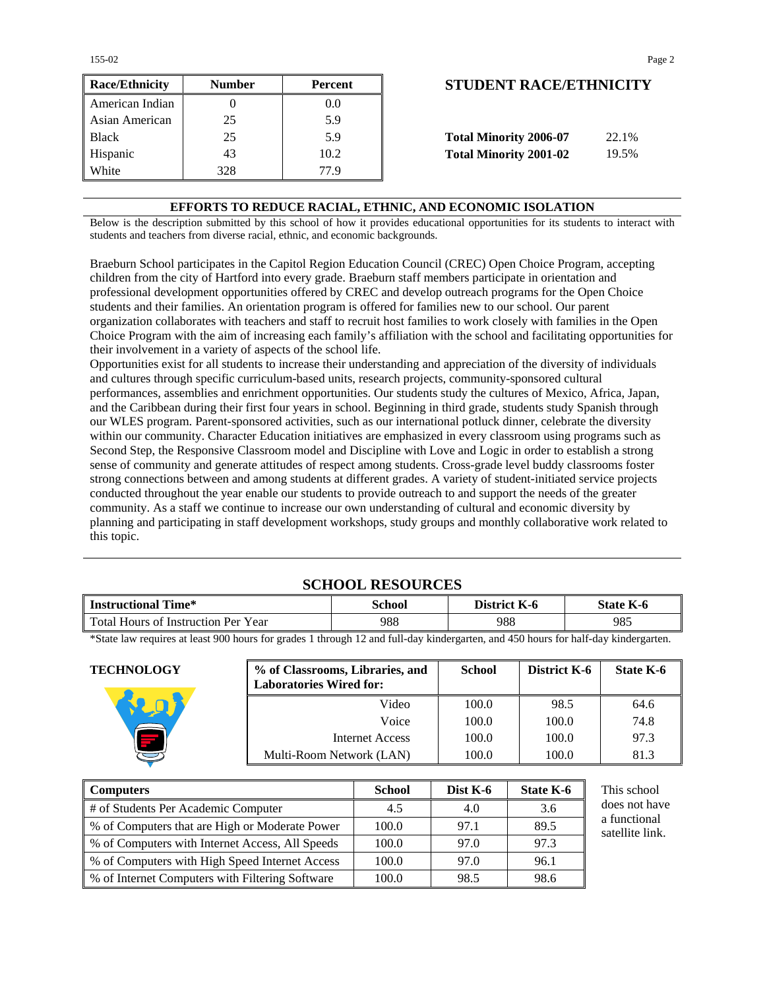155-02 Page 2

| <b>Race/Ethnicity</b> | <b>Number</b> | Percent          | <b>STUDENT RACE/ETHNICIT</b>           |
|-----------------------|---------------|------------------|----------------------------------------|
| American Indian       |               | 0.0 <sub>1</sub> |                                        |
| Asian American        | 25            | 5.9              |                                        |
| <b>Black</b>          | 25            | 5.9              | <b>Total Minority 2006-07</b><br>22.1% |
| Hispanic              | 43            | 10.2             | <b>Total Minority 2001-02</b><br>19.5% |
| White                 | 328           | 77 9             |                                        |

# **Race/Ethnicity Number Percent STUDENT RACE/ETHNICITY**

| <b>Total Minority 2006-07</b> | 22.1% |
|-------------------------------|-------|
| <b>Total Minority 2001-02</b> | 19.5% |

#### **EFFORTS TO REDUCE RACIAL, ETHNIC, AND ECONOMIC ISOLATION**

Below is the description submitted by this school of how it provides educational opportunities for its students to interact with students and teachers from diverse racial, ethnic, and economic backgrounds.

Braeburn School participates in the Capitol Region Education Council (CREC) Open Choice Program, accepting children from the city of Hartford into every grade. Braeburn staff members participate in orientation and professional development opportunities offered by CREC and develop outreach programs for the Open Choice students and their families. An orientation program is offered for families new to our school. Our parent organization collaborates with teachers and staff to recruit host families to work closely with families in the Open Choice Program with the aim of increasing each family's affiliation with the school and facilitating opportunities for their involvement in a variety of aspects of the school life.

Opportunities exist for all students to increase their understanding and appreciation of the diversity of individuals and cultures through specific curriculum-based units, research projects, community-sponsored cultural performances, assemblies and enrichment opportunities. Our students study the cultures of Mexico, Africa, Japan, and the Caribbean during their first four years in school. Beginning in third grade, students study Spanish through our WLES program. Parent-sponsored activities, such as our international potluck dinner, celebrate the diversity within our community. Character Education initiatives are emphasized in every classroom using programs such as Second Step, the Responsive Classroom model and Discipline with Love and Logic in order to establish a strong sense of community and generate attitudes of respect among students. Cross-grade level buddy classrooms foster strong connections between and among students at different grades. A variety of student-initiated service projects conducted throughout the year enable our students to provide outreach to and support the needs of the greater community. As a staff we continue to increase our own understanding of cultural and economic diversity by planning and participating in staff development workshops, study groups and monthly collaborative work related to this topic.

### **SCHOOL RESOURCES**

| ! Time*<br><b>Instructional</b>     | <b>School</b> | District K-6 | $K-6$<br>State |
|-------------------------------------|---------------|--------------|----------------|
| Total Hours of Instruction Per Year | 988           | 988          | 985            |

\*State law requires at least 900 hours for grades 1 through 12 and full-day kindergarten, and 450 hours for half-day kindergarten.

| <b>TECHNOLOGY</b> | % of Classrooms, Libraries, and<br><b>Laboratories Wired for:</b> | <b>School</b> | District K-6 | State K-6 |
|-------------------|-------------------------------------------------------------------|---------------|--------------|-----------|
|                   | Video                                                             | 100.0         | 98.5         | 64.6      |
|                   | Voice                                                             | 100.0         | 100.0        | 74.8      |
|                   | Internet Access                                                   | 100.0         | 100.0        | 97.3      |
|                   | Multi-Room Network (LAN)                                          | 100.0         | 100.0        | 81.3      |

| Computers                                         | <b>School</b> | Dist $K-6$ | <b>State K-6</b> | This school                     |
|---------------------------------------------------|---------------|------------|------------------|---------------------------------|
| # of Students Per Academic Computer               | 4.5           | 4.0        | 3.6              | does not have                   |
| ■ % of Computers that are High or Moderate Power  | 100.0         | 97.1       | 89.5             | a functional<br>satellite link. |
| ■ % of Computers with Internet Access, All Speeds | 100.0         | 97.0       | 97.3             |                                 |
| ■ % of Computers with High Speed Internet Access  | 100.0         | 97.0       | 96.1             |                                 |
| ■ % of Internet Computers with Filtering Software | 100.0         | 98.5       | 98.6             |                                 |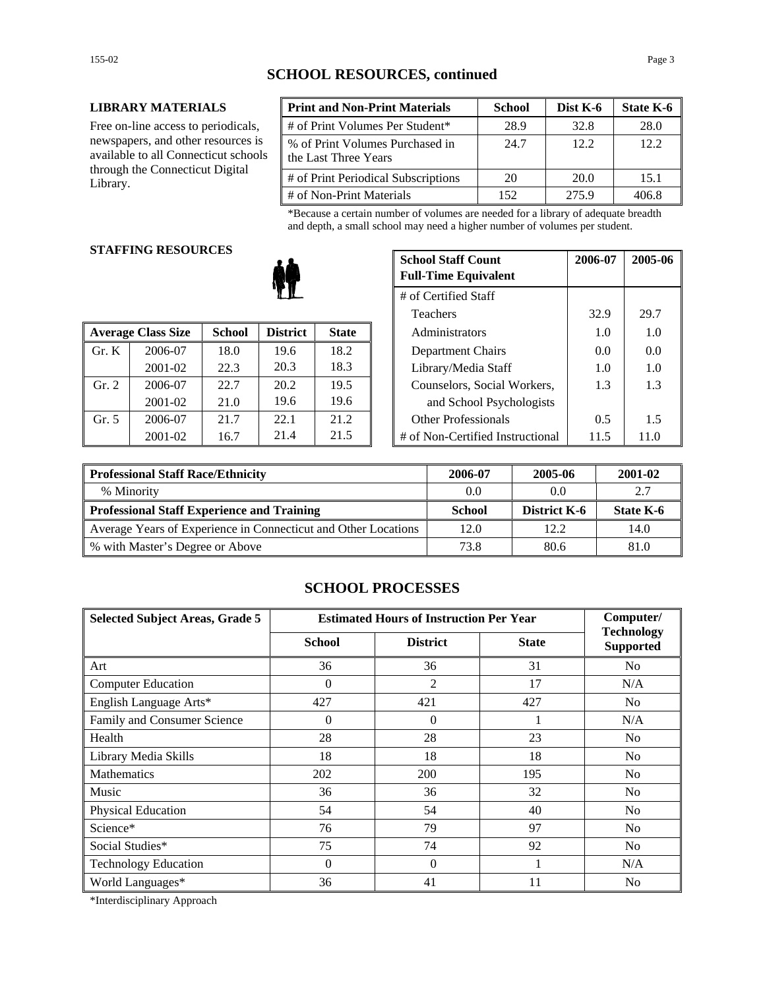#### **LIBRARY MATERIALS**

Free on-line access to periodicals, newspapers, and other resources is available to all Connecticut schools through the Connecticut Digital Library.

| <b>Print and Non-Print Materials</b>                    | <b>School</b> | Dist K-6 | State K-6 |
|---------------------------------------------------------|---------------|----------|-----------|
| # of Print Volumes Per Student*                         | 28.9          | 32.8     | 28.0      |
| % of Print Volumes Purchased in<br>the Last Three Years | 24.7          | 12.2     | 12.2      |
| # of Print Periodical Subscriptions                     | 20            | 20.0     | 15.1      |
| # of Non-Print Materials                                | 152           | 275.9    | 406.8     |

\*Because a certain number of volumes are needed for a library of adequate breadth and depth, a small school may need a higher number of volumes per student.

### **STAFFING RESOURCES**

|       |                           |               |                 |              | 1 <u>UAU I</u> IU                | - - - - - | <i><u>_,,,</u></i> |
|-------|---------------------------|---------------|-----------------|--------------|----------------------------------|-----------|--------------------|
|       | <b>Average Class Size</b> | <b>School</b> | <b>District</b> | <b>State</b> | Administrators                   |           | 1.0                |
| Gr. K | 2006-07                   | 18.0          | 19.6            | 18.2         | Department Chairs                | 0.0       | 0.0                |
|       | 2001-02                   | 22.3          | 20.3            | 18.3         | Library/Media Staff              | 1.0       | 1.0                |
| Gr. 2 | 2006-07                   | 22.7          | 20.2            | 19.5         | Counselors, Social Workers,      | 1.3       | 1.3                |
|       | 2001-02                   | 21.0          | 19.6            | 19.6         | and School Psychologists         |           |                    |
| Gr. 5 | 2006-07                   | 21.7          | 22.1            | 21.2         | <b>Other Professionals</b>       | 0.5       | 1.5                |
|       | 2001-02                   | 16.7          | 21.4            | 21.5         | # of Non-Certified Instructional | 11.5      | 11.0               |

| u neguvnjeg |               | <b>School Staff Count</b><br><b>Full-Time Equivalent</b> | 2006-07      | 2005-06              |                                  |      |      |
|-------------|---------------|----------------------------------------------------------|--------------|----------------------|----------------------------------|------|------|
|             |               |                                                          |              | # of Certified Staff |                                  |      |      |
| Teachers    |               |                                                          |              |                      | 32.9                             | 29.7 |      |
| 'lass Size  | <b>School</b> | <b>District</b>                                          | <b>State</b> |                      | Administrators                   | 1.0  | 1.0  |
| 2006-07     | 18.0          | 19.6                                                     | 18.2         |                      | Department Chairs                | 0.0  | 0.0  |
| 2001-02     | 22.3          | 20.3                                                     | 18.3         |                      | Library/Media Staff              | 1.0  | 1.0  |
| 2006-07     | 22.7          | 20.2                                                     | 19.5         |                      | Counselors, Social Workers,      | 1.3  | 1.3  |
| 2001-02     | 21.0          | 19.6                                                     | 19.6         |                      | and School Psychologists         |      |      |
| 2006-07     | 21.7          | 22.1                                                     | 21.2         |                      | <b>Other Professionals</b>       | 0.5  | 1.5  |
| 2001-02     | 16.7          | 21.4                                                     | 21.5         |                      | # of Non-Certified Instructional | 11.5 | 11.0 |

| <b>Professional Staff Race/Ethnicity</b>                       | 2006-07 | 2005-06             | 2001-02   |
|----------------------------------------------------------------|---------|---------------------|-----------|
| % Minority                                                     | 0.0     | 0.0                 | 2.7       |
| Professional Staff Experience and Training                     | School  | <b>District K-6</b> | State K-6 |
| Average Years of Experience in Connecticut and Other Locations | 12.0    | 12.2.               | 14.0      |
| ∥ % with Master's Degree or Above                              | 73.8    | 80.6                | 81.0      |

# **SCHOOL PROCESSES**

| <b>Selected Subject Areas, Grade 5</b> | <b>Estimated Hours of Instruction Per Year</b> |                 |              | Computer/                             |
|----------------------------------------|------------------------------------------------|-----------------|--------------|---------------------------------------|
|                                        | <b>School</b>                                  | <b>District</b> | <b>State</b> | <b>Technology</b><br><b>Supported</b> |
| Art                                    | 36                                             | 36              | 31           | No                                    |
| <b>Computer Education</b>              | $\Omega$                                       | 2               | 17           | N/A                                   |
| English Language Arts*                 | 427                                            | 421             | 427          | N <sub>0</sub>                        |
| Family and Consumer Science            | $\theta$                                       | $\Omega$        |              | N/A                                   |
| Health                                 | 28                                             | 28              | 23           | No                                    |
| Library Media Skills                   | 18                                             | 18              | 18           | N <sub>0</sub>                        |
| <b>Mathematics</b>                     | 202                                            | 200             | 195          | N <sub>0</sub>                        |
| Music                                  | 36                                             | 36              | 32           | N <sub>0</sub>                        |
| Physical Education                     | 54                                             | 54              | 40           | No                                    |
| Science*                               | 76                                             | 79              | 97           | N <sub>0</sub>                        |
| Social Studies*                        | 75                                             | 74              | 92           | N <sub>0</sub>                        |
| <b>Technology Education</b>            | $\Omega$                                       | $\theta$        |              | N/A                                   |
| World Languages*                       | 36                                             | 41              | 11           | N <sub>0</sub>                        |

\*Interdisciplinary Approach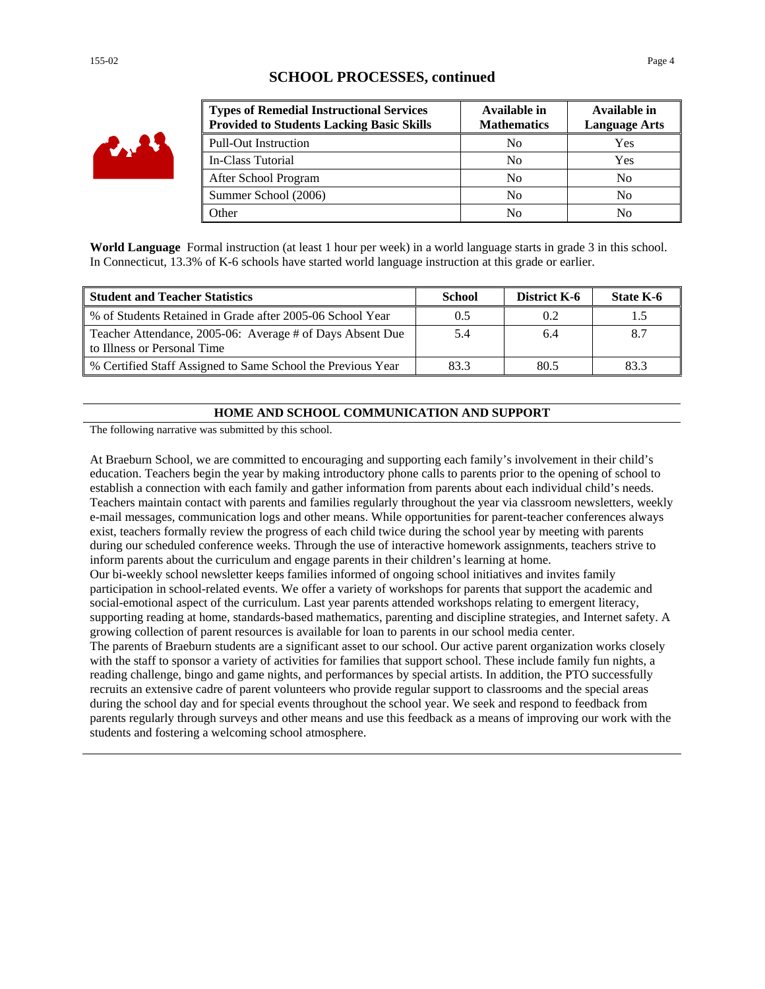| YA W |
|------|
|------|

# **SCHOOL PROCESSES, continued**

| <b>Types of Remedial Instructional Services</b><br><b>Provided to Students Lacking Basic Skills</b> | Available in<br><b>Mathematics</b> | Available in<br><b>Language Arts</b> |
|-----------------------------------------------------------------------------------------------------|------------------------------------|--------------------------------------|
| <b>Pull-Out Instruction</b>                                                                         | N <sub>0</sub>                     | Yes                                  |
| In-Class Tutorial                                                                                   | N <sub>0</sub>                     | Yes                                  |
| After School Program                                                                                | No                                 | No                                   |
| Summer School (2006)                                                                                | N <sub>0</sub>                     | No                                   |
| <b>Other</b>                                                                                        | No                                 | N <sub>0</sub>                       |

**World Language** Formal instruction (at least 1 hour per week) in a world language starts in grade 3 in this school. In Connecticut, 13.3% of K-6 schools have started world language instruction at this grade or earlier.

| <b>Student and Teacher Statistics</b>                                                    | <b>School</b> | District K-6 | State K-6 |
|------------------------------------------------------------------------------------------|---------------|--------------|-----------|
| % of Students Retained in Grade after 2005-06 School Year                                | 0.5           | 0.2          |           |
| Teacher Attendance, 2005-06: Average # of Days Absent Due<br>to Illness or Personal Time | 5.4           | 6.4          |           |
| % Certified Staff Assigned to Same School the Previous Year                              | 83.3          | 80.5         | 83.3      |

#### **HOME AND SCHOOL COMMUNICATION AND SUPPORT**

The following narrative was submitted by this school.

At Braeburn School, we are committed to encouraging and supporting each family's involvement in their child's education. Teachers begin the year by making introductory phone calls to parents prior to the opening of school to establish a connection with each family and gather information from parents about each individual child's needs. Teachers maintain contact with parents and families regularly throughout the year via classroom newsletters, weekly e-mail messages, communication logs and other means. While opportunities for parent-teacher conferences always exist, teachers formally review the progress of each child twice during the school year by meeting with parents during our scheduled conference weeks. Through the use of interactive homework assignments, teachers strive to inform parents about the curriculum and engage parents in their children's learning at home.

Our bi-weekly school newsletter keeps families informed of ongoing school initiatives and invites family participation in school-related events. We offer a variety of workshops for parents that support the academic and social-emotional aspect of the curriculum. Last year parents attended workshops relating to emergent literacy, supporting reading at home, standards-based mathematics, parenting and discipline strategies, and Internet safety. A growing collection of parent resources is available for loan to parents in our school media center.

The parents of Braeburn students are a significant asset to our school. Our active parent organization works closely with the staff to sponsor a variety of activities for families that support school. These include family fun nights, a reading challenge, bingo and game nights, and performances by special artists. In addition, the PTO successfully recruits an extensive cadre of parent volunteers who provide regular support to classrooms and the special areas during the school day and for special events throughout the school year. We seek and respond to feedback from parents regularly through surveys and other means and use this feedback as a means of improving our work with the students and fostering a welcoming school atmosphere.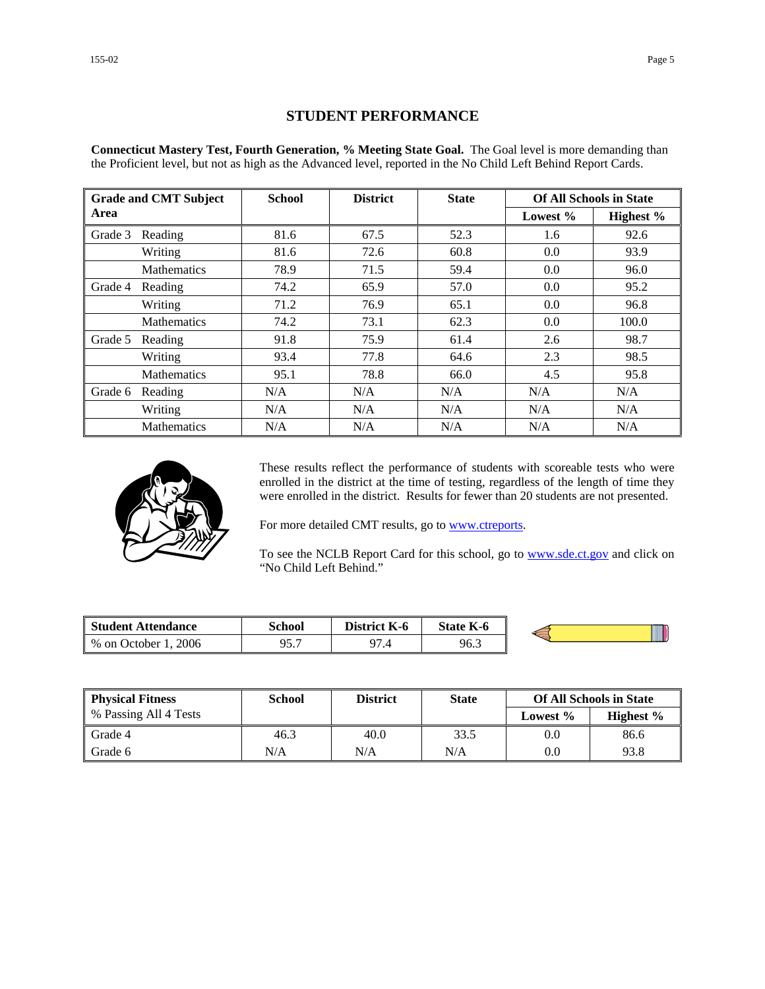# **STUDENT PERFORMANCE**

**Connecticut Mastery Test, Fourth Generation, % Meeting State Goal.** The Goal level is more demanding than the Proficient level, but not as high as the Advanced level, reported in the No Child Left Behind Report Cards.

|         | <b>Grade and CMT Subject</b> | <b>School</b> | <b>District</b> | <b>State</b> |          | <b>Of All Schools in State</b> |
|---------|------------------------------|---------------|-----------------|--------------|----------|--------------------------------|
| Area    |                              |               |                 |              | Lowest % | Highest %                      |
| Grade 3 | Reading                      | 81.6          | 67.5            | 52.3         | 1.6      | 92.6                           |
|         | Writing                      | 81.6          | 72.6            | 60.8         | 0.0      | 93.9                           |
|         | <b>Mathematics</b>           | 78.9          | 71.5            | 59.4         | 0.0      | 96.0                           |
| Grade 4 | Reading                      | 74.2          | 65.9            | 57.0         | 0.0      | 95.2                           |
|         | Writing                      | 71.2          | 76.9            | 65.1         | 0.0      | 96.8                           |
|         | <b>Mathematics</b>           | 74.2          | 73.1            | 62.3         | 0.0      | 100.0                          |
| Grade 5 | Reading                      | 91.8          | 75.9            | 61.4         | 2.6      | 98.7                           |
|         | Writing                      | 93.4          | 77.8            | 64.6         | 2.3      | 98.5                           |
|         | Mathematics                  | 95.1          | 78.8            | 66.0         | 4.5      | 95.8                           |
| Grade 6 | Reading                      | N/A           | N/A             | N/A          | N/A      | N/A                            |
|         | Writing                      | N/A           | N/A             | N/A          | N/A      | N/A                            |
|         | <b>Mathematics</b>           | N/A           | N/A             | N/A          | N/A      | N/A                            |



These results reflect the performance of students with scoreable tests who were enrolled in the district at the time of testing, regardless of the length of time they were enrolled in the district. Results for fewer than 20 students are not presented.

For more detailed CMT results, go to **www.ctreports**.

To see the NCLB Report Card for this school, go to **[www.sde.ct.gov](http://www.sde.ct.gov/)** and click on "No Child Left Behind."

| <b>Student Attendance</b>            | School       | <b>District</b><br>K-6 | <b>State K-6</b> |  |
|--------------------------------------|--------------|------------------------|------------------|--|
| 2006<br>$%$ on $\sqrt{ }$<br>October | 05 7<br>,,,, | $\Omega$<br>۰.,        | 96.3             |  |

| <b>Physical Fitness</b> | School | <b>District</b> | <b>State</b> |             | <b>Of All Schools in State</b> |
|-------------------------|--------|-----------------|--------------|-------------|--------------------------------|
| % Passing All 4 Tests   |        |                 |              | Lowest $\%$ | Highest $\%$                   |
| Grade 4                 | 46.3   | 40.0            | 33.5         | 0.0         | 86.6                           |
| Grade 6                 | N/A    | N/A             | N/A          | 0.0         | 93.8                           |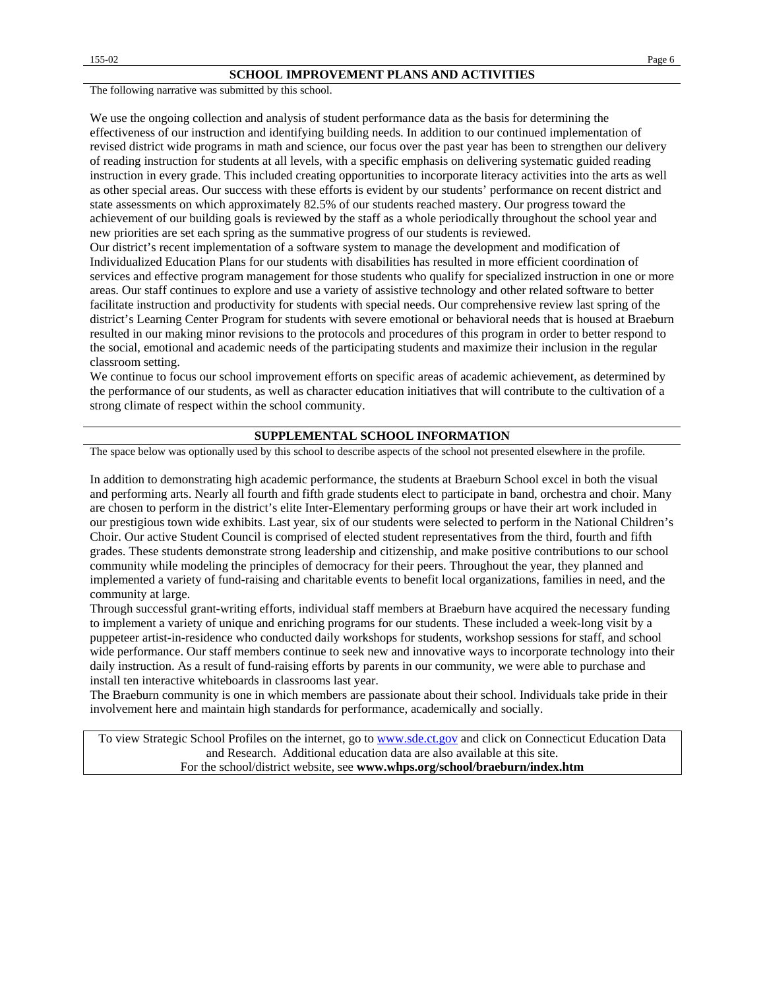The following narrative was submitted by this school.

We use the ongoing collection and analysis of student performance data as the basis for determining the effectiveness of our instruction and identifying building needs. In addition to our continued implementation of revised district wide programs in math and science, our focus over the past year has been to strengthen our delivery of reading instruction for students at all levels, with a specific emphasis on delivering systematic guided reading instruction in every grade. This included creating opportunities to incorporate literacy activities into the arts as well as other special areas. Our success with these efforts is evident by our students' performance on recent district and state assessments on which approximately 82.5% of our students reached mastery. Our progress toward the achievement of our building goals is reviewed by the staff as a whole periodically throughout the school year and new priorities are set each spring as the summative progress of our students is reviewed.

Our district's recent implementation of a software system to manage the development and modification of Individualized Education Plans for our students with disabilities has resulted in more efficient coordination of services and effective program management for those students who qualify for specialized instruction in one or more areas. Our staff continues to explore and use a variety of assistive technology and other related software to better facilitate instruction and productivity for students with special needs. Our comprehensive review last spring of the district's Learning Center Program for students with severe emotional or behavioral needs that is housed at Braeburn resulted in our making minor revisions to the protocols and procedures of this program in order to better respond to the social, emotional and academic needs of the participating students and maximize their inclusion in the regular classroom setting.

We continue to focus our school improvement efforts on specific areas of academic achievement, as determined by the performance of our students, as well as character education initiatives that will contribute to the cultivation of a strong climate of respect within the school community.

#### **SUPPLEMENTAL SCHOOL INFORMATION**

The space below was optionally used by this school to describe aspects of the school not presented elsewhere in the profile.

In addition to demonstrating high academic performance, the students at Braeburn School excel in both the visual and performing arts. Nearly all fourth and fifth grade students elect to participate in band, orchestra and choir. Many are chosen to perform in the district's elite Inter-Elementary performing groups or have their art work included in our prestigious town wide exhibits. Last year, six of our students were selected to perform in the National Children's Choir. Our active Student Council is comprised of elected student representatives from the third, fourth and fifth grades. These students demonstrate strong leadership and citizenship, and make positive contributions to our school community while modeling the principles of democracy for their peers. Throughout the year, they planned and implemented a variety of fund-raising and charitable events to benefit local organizations, families in need, and the community at large.

Through successful grant-writing efforts, individual staff members at Braeburn have acquired the necessary funding to implement a variety of unique and enriching programs for our students. These included a week-long visit by a puppeteer artist-in-residence who conducted daily workshops for students, workshop sessions for staff, and school wide performance. Our staff members continue to seek new and innovative ways to incorporate technology into their daily instruction. As a result of fund-raising efforts by parents in our community, we were able to purchase and install ten interactive whiteboards in classrooms last year.

The Braeburn community is one in which members are passionate about their school. Individuals take pride in their involvement here and maintain high standards for performance, academically and socially.

To view Strategic School Profiles on the internet, go to [www.sde.ct.gov](http://www.sde.ct.gov/) and click on Connecticut Education Data and Research. Additional education data are also available at this site. For the school/district website, see **www.whps.org/school/braeburn/index.htm**